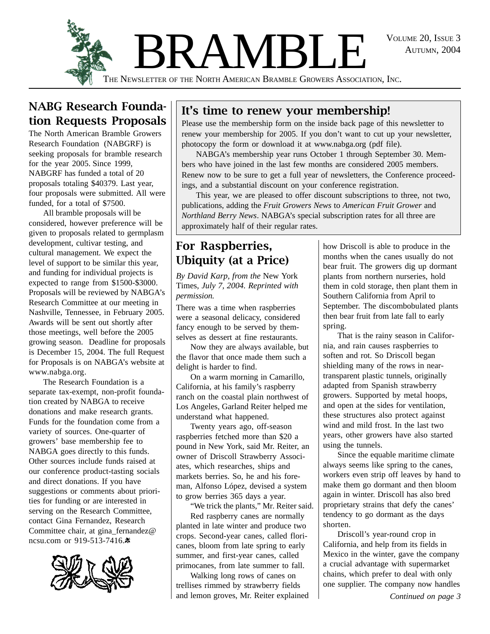AUTUMN, 2004



# NABG Research Foundation Requests Proposals

The North American Bramble Growers Research Foundation (NABGRF) is seeking proposals for bramble research for the year 2005. Since 1999, NABGRF has funded a total of 20 proposals totaling \$40379. Last year, four proposals were submitted. All were funded, for a total of \$7500.

All bramble proposals will be considered, however preference will be given to proposals related to germplasm development, cultivar testing, and cultural management. We expect the level of support to be similar this year, and funding for individual projects is expected to range from \$1500-\$3000. Proposals will be reviewed by NABGA's Research Committee at our meeting in Nashville, Tennessee, in February 2005. Awards will be sent out shortly after those meetings, well before the 2005 growing season. Deadline for proposals is December 15, 2004. The full Request for Proposals is on NABGA's website at www.nabga.org.

The Research Foundation is a separate tax-exempt, non-profit foundation created by NABGA to receive donations and make research grants. Funds for the foundation come from a variety of sources. One-quarter of growers' base membership fee to NABGA goes directly to this funds. Other sources include funds raised at our conference product-tasting socials and direct donations. If you have suggestions or comments about priorities for funding or are interested in serving on the Research Committee, contact Gina Fernandez, Research Committee chair, at gina\_fernandez@ ncsu.com or 919-513-7416.<del></del>



### It's time to renew your membership!

Please use the membership form on the inside back page of this newsletter to renew your membership for 2005. If you don't want to cut up your newsletter, photocopy the form or download it at www.nabga.org (pdf file).

NABGA's membership year runs October 1 through September 30. Members who have joined in the last few months are considered 2005 members. Renew now to be sure to get a full year of newsletters, the Conference proceedings, and a substantial discount on your conference registration.

This year, we are pleased to offer discount subscriptions to three, not two, publications, adding the *Fruit Growers News* to *American Fruit Grower* and *Northland Berry News*. NABGA's special subscription rates for all three are approximately half of their regular rates.

# For Raspberries, Ubiquity (at a Price)

*By David Karp, from the* New York Times, *July 7, 2004. Reprinted with permission.*

There was a time when raspberries were a seasonal delicacy, considered fancy enough to be served by themselves as dessert at fine restaurants.

Now they are always available, but the flavor that once made them such a delight is harder to find.

On a warm morning in Camarillo, California, at his family's raspberry ranch on the coastal plain northwest of Los Angeles, Garland Reiter helped me understand what happened.

Twenty years ago, off-season raspberries fetched more than \$20 a pound in New York, said Mr. Reiter, an owner of Driscoll Strawberry Associates, which researches, ships and markets berries. So, he and his foreman, Alfonso López, devised a system to grow berries 365 days a year.

"We trick the plants," Mr. Reiter said. Red raspberry canes are normally

planted in late winter and produce two crops. Second-year canes, called floricanes, bloom from late spring to early summer, and first-year canes, called primocanes, from late summer to fall.

Walking long rows of canes on trellises rimmed by strawberry fields and lemon groves, Mr. Reiter explained how Driscoll is able to produce in the months when the canes usually do not bear fruit. The growers dig up dormant plants from northern nurseries, hold them in cold storage, then plant them in Southern California from April to September. The discombobulated plants then bear fruit from late fall to early spring.

That is the rainy season in California, and rain causes raspberries to soften and rot. So Driscoll began shielding many of the rows in neartransparent plastic tunnels, originally adapted from Spanish strawberry growers. Supported by metal hoops, and open at the sides for ventilation, these structures also protect against wind and mild frost. In the last two years, other growers have also started using the tunnels.

Since the equable maritime climate always seems like spring to the canes, workers even strip off leaves by hand to make them go dormant and then bloom again in winter. Driscoll has also bred proprietary strains that defy the canes' tendency to go dormant as the days shorten.

Driscoll's year-round crop in California, and help from its fields in Mexico in the winter, gave the company a crucial advantage with supermarket chains, which prefer to deal with only one supplier. The company now handles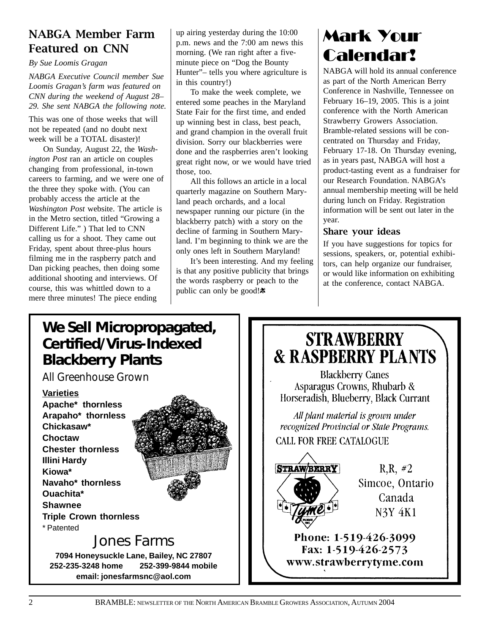# NABGA Member Farm Featured on CNN

#### *By Sue Loomis Gragan*

*NABGA Executive Council member Sue Loomis Gragan's farm was featured on CNN during the weekend of August 28– 29. She sent NABGA the following note.*

This was one of those weeks that will not be repeated (and no doubt next week will be a TOTAL disaster)!

On Sunday, August 22, the *Washington Post* ran an article on couples changing from professional, in-town careers to farming, and we were one of the three they spoke with. (You can probably access the article at the *Washington Post* website. The article is in the Metro section, titled "Growing a Different Life." ) That led to CNN calling us for a shoot. They came out Friday, spent about three-plus hours filming me in the raspberry patch and Dan picking peaches, then doing some additional shooting and interviews. Of course, this was whittled down to a mere three minutes! The piece ending

up airing yesterday during the 10:00 p.m. news and the 7:00 am news this morning. (We ran right after a fiveminute piece on "Dog the Bounty Hunter"– tells you where agriculture is in this country!)

To make the week complete, we entered some peaches in the Maryland State Fair for the first time, and ended up winning best in class, best peach, and grand champion in the overall fruit division. Sorry our blackberries were done and the raspberries aren't looking great right now, or we would have tried those, too.

All this follows an article in a local quarterly magazine on Southern Maryland peach orchards, and a local newspaper running our picture (in the blackberry patch) with a story on the decline of farming in Southern Maryland. I'm beginning to think we are the only ones left in Southern Maryland!

It's been interesting. And my feeling is that any positive publicity that brings the words raspberry or peach to the public can only be good!

# **Mark Your Calendar!**

NABGA will hold its annual conference as part of the North American Berry Conference in Nashville, Tennessee on February 16–19, 2005. This is a joint conference with the North American Strawberry Growers Association. Bramble-related sessions will be concentrated on Thursday and Friday, February 17-18. On Thursday evening, as in years past, NABGA will host a product-tasting event as a fundraiser for our Research Foundation. NABGA's annual membership meeting will be held during lunch on Friday. Registration information will be sent out later in the year.

### Share your ideas

If you have suggestions for topics for sessions, speakers, or, potential exhibitors, can help organize our fundraiser, or would like information on exhibiting at the conference, contact NABGA.

# **We Sell Micropropagated, Certified/Virus-Indexed Blackberry Plants**

**7094 Honeysuckle Lane, Bailey, NC 27807 252-235-3248 home 252-399-9844 mobile email: jonesfarmsnc@aol.com**

*All Greenhouse Grown*

**Varieties Apache\* thornless Arapaho\* thornless Chickasaw\* Choctaw Chester thornless Illini Hardy Kiowa\* Navaho\* thornless Ouachita\* Shawnee Triple Crown thornless** \* Patented Jones Farms



# **STRAWBERRY & RASPBERRY PLANTS Blackberry Canes** Asparagus Crowns, Rhubarb & Horseradish, Blueberry, Black Currant

All plant material is grown under recognized Provincial or State Programs. **CALL FOR FREE CATALOGUE** 



 $R, R, #2$ Simcoe, Ontario Canada N3Y 4K1

Phone: 1-519-426-3099 Fax: 1-519-426-2573 www.strawberrytyme.com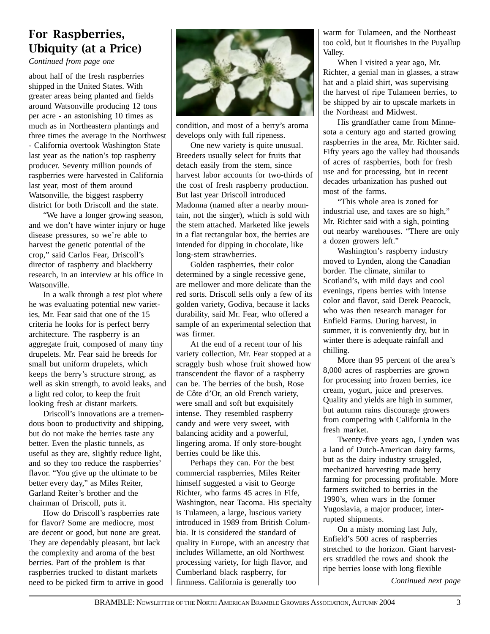# For Raspberries, Ubiquity (at a Price)

*Continued from page one*

about half of the fresh raspberries shipped in the United States. With greater areas being planted and fields around Watsonville producing 12 tons per acre - an astonishing 10 times as much as in Northeastern plantings and three times the average in the Northwest - California overtook Washington State last year as the nation's top raspberry producer. Seventy million pounds of raspberries were harvested in California last year, most of them around Watsonville, the biggest raspberry district for both Driscoll and the state.

"We have a longer growing season, and we don't have winter injury or huge disease pressures, so we're able to harvest the genetic potential of the crop," said Carlos Fear, Driscoll's director of raspberry and blackberry research, in an interview at his office in Watsonville.

In a walk through a test plot where he was evaluating potential new varieties, Mr. Fear said that one of the 15 criteria he looks for is perfect berry architecture. The raspberry is an aggregate fruit, composed of many tiny drupelets. Mr. Fear said he breeds for small but uniform drupelets, which keeps the berry's structure strong, as well as skin strength, to avoid leaks, and a light red color, to keep the fruit looking fresh at distant markets.

Driscoll's innovations are a tremendous boon to productivity and shipping, but do not make the berries taste any better. Even the plastic tunnels, as useful as they are, slightly reduce light, and so they too reduce the raspberries' flavor. "You give up the ultimate to be better every day," as Miles Reiter, Garland Reiter's brother and the chairman of Driscoll, puts it.

How do Driscoll's raspberries rate for flavor? Some are mediocre, most are decent or good, but none are great. They are dependably pleasant, but lack the complexity and aroma of the best berries. Part of the problem is that raspberries trucked to distant markets need to be picked firm to arrive in good

![](_page_2_Picture_7.jpeg)

condition, and most of a berry's aroma develops only with full ripeness.

One new variety is quite unusual. Breeders usually select for fruits that detach easily from the stem, since harvest labor accounts for two-thirds of the cost of fresh raspberry production. But last year Driscoll introduced Madonna (named after a nearby mountain, not the singer), which is sold with the stem attached. Marketed like jewels in a flat rectangular box, the berries are intended for dipping in chocolate, like long-stem strawberries.

Golden raspberries, their color determined by a single recessive gene, are mellower and more delicate than the red sorts. Driscoll sells only a few of its golden variety, Godiva, because it lacks durability, said Mr. Fear, who offered a sample of an experimental selection that was firmer.

At the end of a recent tour of his variety collection, Mr. Fear stopped at a scraggly bush whose fruit showed how transcendent the flavor of a raspberry can be. The berries of the bush, Rose de Côte d'Or, an old French variety, were small and soft but exquisitely intense. They resembled raspberry candy and were very sweet, with balancing acidity and a powerful, lingering aroma. If only store-bought berries could be like this.

Perhaps they can. For the best commercial raspberries, Miles Reiter himself suggested a visit to George Richter, who farms 45 acres in Fife, Washington, near Tacoma. His specialty is Tulameen, a large, luscious variety introduced in 1989 from British Columbia. It is considered the standard of quality in Europe, with an ancestry that includes Willamette, an old Northwest processing variety, for high flavor, and Cumberland black raspberry, for firmness. California is generally too

warm for Tulameen, and the Northeast too cold, but it flourishes in the Puyallup Valley.

When I visited a year ago, Mr. Richter, a genial man in glasses, a straw hat and a plaid shirt, was supervising the harvest of ripe Tulameen berries, to be shipped by air to upscale markets in the Northeast and Midwest.

His grandfather came from Minnesota a century ago and started growing raspberries in the area, Mr. Richter said. Fifty years ago the valley had thousands of acres of raspberries, both for fresh use and for processing, but in recent decades urbanization has pushed out most of the farms.

"This whole area is zoned for industrial use, and taxes are so high," Mr. Richter said with a sigh, pointing out nearby warehouses. "There are only a dozen growers left."

Washington's raspberry industry moved to Lynden, along the Canadian border. The climate, similar to Scotland's, with mild days and cool evenings, ripens berries with intense color and flavor, said Derek Peacock, who was then research manager for Enfield Farms. During harvest, in summer, it is conveniently dry, but in winter there is adequate rainfall and chilling.

More than 95 percent of the area's 8,000 acres of raspberries are grown for processing into frozen berries, ice cream, yogurt, juice and preserves. Quality and yields are high in summer, but autumn rains discourage growers from competing with California in the fresh market.

Twenty-five years ago, Lynden was a land of Dutch-American dairy farms, but as the dairy industry struggled, mechanized harvesting made berry farming for processing profitable. More farmers switched to berries in the 1990's, when wars in the former Yugoslavia, a major producer, interrupted shipments.

On a misty morning last July, Enfield's 500 acres of raspberries stretched to the horizon. Giant harvesters straddled the rows and shook the ripe berries loose with long flexible

*Continued next page*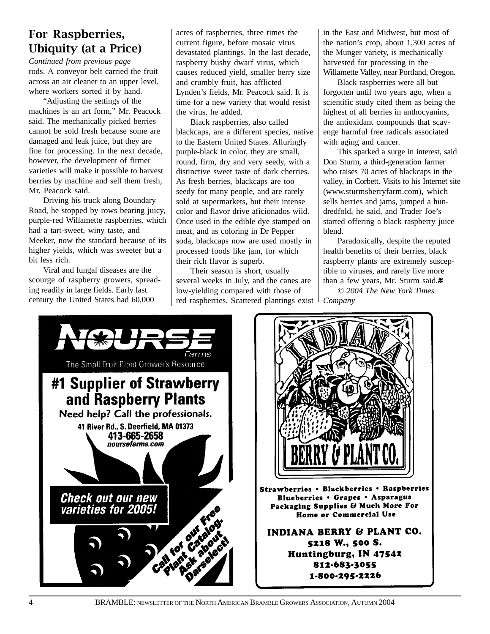# For Raspberries, Ubiquity (at a Price)

*Continued from previous page* rods. A conveyor belt carried the fruit across an air cleaner to an upper level, where workers sorted it by hand.

"Adjusting the settings of the machines is an art form," Mr. Peacock said. The mechanically picked berries cannot be sold fresh because some are damaged and leak juice, but they are fine for processing. In the next decade, however, the development of firmer varieties will make it possible to harvest berries by machine and sell them fresh, Mr. Peacock said.

Driving his truck along Boundary Road, he stopped by rows bearing juicy, purple-red Willamette raspberries, which had a tart-sweet, winy taste, and Meeker, now the standard because of its higher yields, which was sweeter but a bit less rich.

Viral and fungal diseases are the scourge of raspberry growers, spreading readily in large fields. Early last century the United States had 60,000

acres of raspberries, three times the current figure, before mosaic virus devastated plantings. In the last decade, raspberry bushy dwarf virus, which causes reduced yield, smaller berry size and crumbly fruit, has afflicted Lynden's fields, Mr. Peacock said. It is time for a new variety that would resist the virus, he added.

Black raspberries, also called blackcaps, are a different species, native to the Eastern United States. Alluringly purple-black in color, they are small, round, firm, dry and very seedy, with a distinctive sweet taste of dark cherries. As fresh berries, blackcaps are too seedy for many people, and are rarely sold at supermarkets, but their intense color and flavor drive aficionados wild. Once used in the edible dye stamped on meat, and as coloring in Dr Pepper soda, blackcaps now are used mostly in processed foods like jam, for which their rich flavor is superb.

Their season is short, usually several weeks in July, and the canes are low-yielding compared with those of red raspberries. Scattered plantings exist

in the East and Midwest, but most of the nation's crop, about 1,300 acres of the Munger variety, is mechanically harvested for processing in the Willamette Valley, near Portland, Oregon.

Black raspberries were all but forgotten until two years ago, when a scientific study cited them as being the highest of all berries in anthocyanins, the antioxidant compounds that scavenge harmful free radicals associated with aging and cancer.

This sparked a surge in interest, said Don Sturm, a third-generation farmer who raises 70 acres of blackcaps in the valley, in Corbett. Visits to his Internet site (www.sturmsberryfarm.com), which sells berries and jams, jumped a hundredfold, he said, and Trader Joe's started offering a black raspberry juice blend.

Paradoxically, despite the reputed health benefits of their berries, black raspberry plants are extremely susceptible to viruses, and rarely live more than a few years, Mr. Sturm said. $*$ *© 2004 The New York Times Company*

![](_page_3_Picture_12.jpeg)

![](_page_3_Picture_13.jpeg)

4 BRAMBLE: NEWSLETTER OF THE NORTH AMERICAN BRAMBLE GROWERS ASSOCIATION, AUTUMN 2004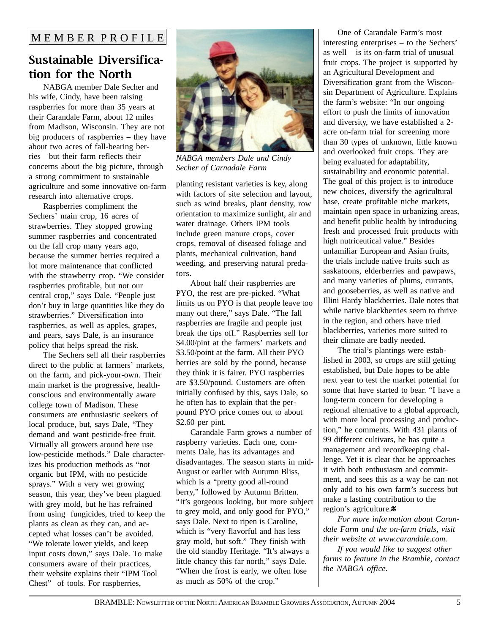# Sustainable Diversification for the North

NABGA member Dale Secher and his wife, Cindy, have been raising raspberries for more than 35 years at their Carandale Farm, about 12 miles from Madison, Wisconsin. They are not big producers of raspberries – they have about two acres of fall-bearing berries—but their farm reflects their concerns about the big picture, through a strong commitment to sustainable agriculture and some innovative on-farm research into alternative crops.

Raspberries compliment the Sechers' main crop, 16 acres of strawberries. They stopped growing summer raspberries and concentrated on the fall crop many years ago, because the summer berries required a lot more maintenance that conflicted with the strawberry crop. "We consider raspberries profitable, but not our central crop," says Dale. "People just don't buy in large quantities like they do strawberries." Diversification into raspberries, as well as apples, grapes, and pears, says Dale, is an insurance policy that helps spread the risk.

The Sechers sell all their raspberries direct to the public at farmers' markets, on the farm, and pick-your-own. Their main market is the progressive, healthconscious and environmentally aware college town of Madison. These consumers are enthusiastic seekers of local produce, but, says Dale, "They demand and want pesticide-free fruit. Virtually all growers around here use low-pesticide methods." Dale characterizes his production methods as "not organic but IPM, with no pesticide sprays." With a very wet growing season, this year, they've been plagued with grey mold, but he has refrained from using fungicides, tried to keep the plants as clean as they can, and accepted what losses can't be avoided. "We tolerate lower yields, and keep input costs down," says Dale. To make consumers aware of their practices, their website explains their "IPM Tool Chest" of tools. For raspberries,

![](_page_4_Picture_5.jpeg)

*NABGA members Dale and Cindy Secher of Carnadale Farm*

planting resistant varieties is key, along with factors of site selection and layout, such as wind breaks, plant density, row orientation to maximize sunlight, air and water drainage. Others IPM tools include green manure crops, cover crops, removal of diseased foliage and plants, mechanical cultivation, hand weeding, and preserving natural predators.

About half their raspberries are PYO, the rest are pre-picked. "What limits us on PYO is that people leave too many out there," says Dale. "The fall raspberries are fragile and people just break the tips off." Raspberries sell for \$4.00/pint at the farmers' markets and \$3.50/point at the farm. All their PYO berries are sold by the pound, because they think it is fairer. PYO raspberries are \$3.50/pound. Customers are often initially confused by this, says Dale, so he often has to explain that the perpound PYO price comes out to about \$2.60 per pint.

Carandale Farm grows a number of raspberry varieties. Each one, comments Dale, has its advantages and disadvantages. The season starts in mid-August or earlier with Autumn Bliss, which is a "pretty good all-round berry," followed by Autumn Britten. "It's gorgeous looking, but more subject to grey mold, and only good for PYO," says Dale. Next to ripen is Caroline, which is "very flavorful and has less gray mold, but soft." They finish with the old standby Heritage. "It's always a little chancy this far north," says Dale. "When the frost is early, we often lose as much as 50% of the crop."

One of Carandale Farm's most interesting enterprises – to the Sechers' as well – is its on-farm trial of unusual fruit crops. The project is supported by an Agricultural Development and Diversification grant from the Wisconsin Department of Agriculture. Explains the farm's website: "In our ongoing effort to push the limits of innovation and diversity, we have established a 2 acre on-farm trial for screening more than 30 types of unknown, little known and overlooked fruit crops. They are being evaluated for adaptability, sustainability and economic potential. The goal of this project is to introduce new choices, diversify the agricultural base, create profitable niche markets, maintain open space in urbanizing areas, and benefit public health by introducing fresh and processed fruit products with high nutriceutical value." Besides unfamiliar European and Asian fruits, the trials include native fruits such as saskatoons, elderberries and pawpaws, and many varieties of plums, currants, and gooseberries, as well as native and Illini Hardy blackberries. Dale notes that while native blackberries seem to thrive in the region, and others have tried blackberries, varieties more suited to their climate are badly needed.

The trial's plantings were established in 2003, so crops are still getting established, but Dale hopes to be able next year to test the market potential for some that have started to bear. "I have a long-term concern for developing a regional alternative to a global approach, with more local processing and production," he comments. With 431 plants of 99 different cultivars, he has quite a management and recordkeeping challenge. Yet it is clear that he approaches it with both enthusiasm and commitment, and sees this as a way he can not only add to his own farm's success but make a lasting contribution to the region's agriculture.

*For more information about Carandale Farm and the on-farm trials, visit their website at www.carandale.com.*

*If you would like to suggest other farms to feature in the Bramble, contact the NABGA office.*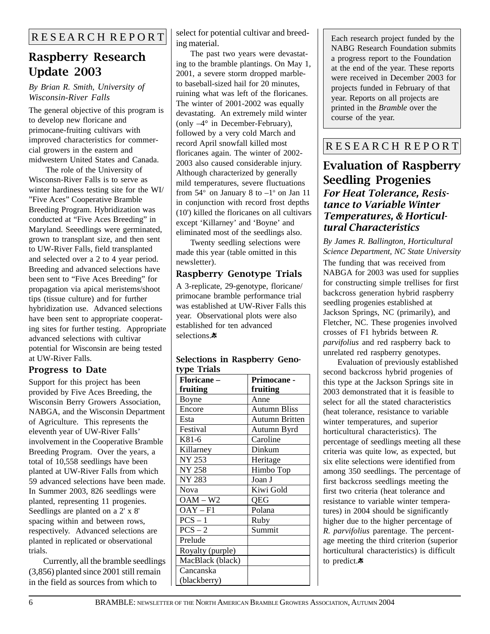# Raspberry Research **Update 2003**

#### *By Brian R. Smith, University of Wisconsin-River Falls*

The general objective of this program is to develop new floricane and primocane-fruiting cultivars with improved characteristics for commercial growers in the eastern and midwestern United States and Canada.

 The role of the University of Wisconsn-River Falls is to serve as winter hardiness testing site for the WI/ "Five Aces" Cooperative Bramble Breeding Program. Hybridization was conducted at "Five Aces Breeding" in Maryland. Seeedlings were germinated, grown to transplant size, and then sent to UW-River Falls, field transplanted and selected over a 2 to 4 year period. Breeding and advanced selections have been sent to "Five Aces Breeding" for propagation via apical meristems/shoot tips (tissue culture) and for further hybridization use. Advanced selections have been sent to appropriate cooperating sites for further testing. Appropriate advanced selections with cultivar potential for Wisconsin are being tested at UW-River Falls.

### Progress to Date

Support for this project has been provided by Five Aces Breeding, the Wisconsin Berry Growers Association, NABGA, and the Wisconsin Department of Agriculture. This represents the eleventh year of UW-River Falls' involvement in the Cooperative Bramble Breeding Program. Over the years, a total of 10,558 seedlings have been planted at UW-River Falls from which 59 advanced selections have been made. In Summer 2003, 826 seedlings were planted, representing 11 progenies. Seedlings are planted on a 2' x 8' spacing within and between rows, respectively. Advanced selections are planted in replicated or observational trials.

Currently, all the bramble seedlings (3,856) planted since 2001 still remain in the field as sources from which to

select for potential cultivar and breeding material.

The past two years were devastating to the bramble plantings. On May 1, 2001, a severe storm dropped marbleto baseball-sized hail for 20 minutes, ruining what was left of the floricanes. The winter of 2001-2002 was equally devastating. An extremely mild winter (only –4° in December-February), followed by a very cold March and record April snowfall killed most floricanes again. The winter of 2002- 2003 also caused considerable injury. Although characterized by generally mild temperatures, severe fluctuations from  $54^{\circ}$  on January 8 to  $-1^{\circ}$  on Jan 11 in conjunction with record frost depths (10') killed the floricanes on all cultivars except 'Killarney' and 'Boyne' and eliminated most of the seedlings also.

Twenty seedling selections were made this year (table omitted in this newsletter).

### Raspberry Genotype Trials

A 3-replicate, 29-genotype, floricane/ primocane bramble performance trial was established at UW-River Falls this year. Observational plots were also established for ten advanced selections.素

#### **Selections in Raspberry Geno**type Trials

| Floricane-       | Primocane -           |
|------------------|-----------------------|
| fruiting         | fruiting              |
| Boyne            | Anne                  |
| Encore           | <b>Autumn Bliss</b>   |
| Esta             | <b>Autumn Britten</b> |
| Festival         | Autumn Byrd           |
| K81-6            | Caroline              |
| Killarney        | Dinkum                |
| NY 253           | Heritage              |
| <b>NY 258</b>    | Himbo Top             |
| <b>NY 283</b>    | Joan J                |
| Nova             | Kiwi Gold             |
| $OAM-W2$         | QEG                   |
| $OAY - F1$       | Polana                |
| $PCS - 1$        | Ruby                  |
| $PCS - 2$        | Summit                |
| Prelude          |                       |
| Royalty (purple) |                       |
| MacBlack (black) |                       |
| Cancanska        |                       |
| (blackberry)     |                       |

Each research project funded by the NABG Research Foundation submits a progress report to the Foundation at the end of the year. These reports were received in December 2003 for projects funded in February of that year. Reports on all projects are printed in the *Bramble* over the course of the year.

### R E S E A R C H R E P O R T

### Evaluation of Raspberry Seedling Progenies For Heat Tolerance, Resistance to Variable Winter Temperatures, & Horticultural Characteristics

*By James R. Ballington, Horticultural Science Department, NC State University*

The funding that was received from NABGA for 2003 was used for supplies for constructing simple trellises for first backcross generation hybrid raspberry seedling progenies established at Jackson Springs, NC (primarily), and Fletcher, NC. These progenies involved crosses of F1 hybrids between *R. parvifolius* and red raspberry back to unrelated red raspberry genotypes.

Evaluation of previously established second backcross hybrid progenies of this type at the Jackson Springs site in 2003 demonstrated that it is feasible to select for all the stated characteristics (heat tolerance, resistance to variable winter temperatures, and superior horticultural characteristics). The percentage of seedlings meeting all these criteria was quite low, as expected, but six elite selections were identified from among 350 seedlings. The percentage of first backcross seedlings meeting the first two criteria (heat tolerance and resistance to variable winter temperatures) in 2004 should be significantly higher due to the higher percentage of *R. parvifolius* parentage. The percentage meeting the third criterion (superior horticultural characteristics) is difficult to predict.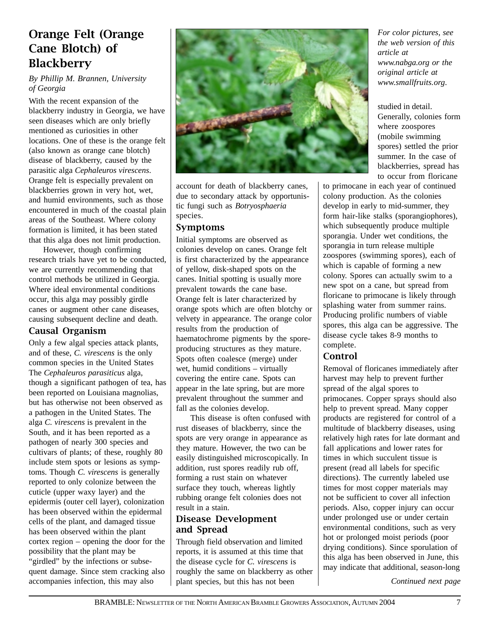## Orange Felt (Orange Cane Blotch) of Blackberry

#### *By Phillip M. Brannen, University of Georgia*

With the recent expansion of the blackberry industry in Georgia, we have seen diseases which are only briefly mentioned as curiosities in other locations. One of these is the orange felt (also known as orange cane blotch) disease of blackberry, caused by the parasitic alga *Cephaleuros virescens*. Orange felt is especially prevalent on blackberries grown in very hot, wet, and humid environments, such as those encountered in much of the coastal plain areas of the Southeast. Where colony formation is limited, it has been stated that this alga does not limit production.

However, though confirming research trials have yet to be conducted, we are currently recommending that control methods be utilized in Georgia. Where ideal environmental conditions occur, this alga may possibly girdle canes or augment other cane diseases, causing subsequent decline and death.

### Causal Organism

Only a few algal species attack plants, and of these, *C. virescens* is the only common species in the United States The *Cephaleuros parasiticus* alga, though a significant pathogen of tea, has been reported on Louisiana magnolias, but has otherwise not been observed as a pathogen in the United States. The alga *C. virescens* is prevalent in the South, and it has been reported as a pathogen of nearly 300 species and cultivars of plants; of these, roughly 80 include stem spots or lesions as symptoms. Though *C. virescens* is generally reported to only colonize between the cuticle (upper waxy layer) and the epidermis (outer cell layer), colonization has been observed within the epidermal cells of the plant, and damaged tissue has been observed within the plant cortex region – opening the door for the possibility that the plant may be "girdled" by the infections or subsequent damage. Since stem cracking also accompanies infection, this may also

![](_page_6_Picture_6.jpeg)

account for death of blackberry canes, due to secondary attack by opportunistic fungi such as *Botryosphaeria* species.

#### **Symptoms**

Initial symptoms are observed as colonies develop on canes. Orange felt is first characterized by the appearance of yellow, disk-shaped spots on the canes. Initial spotting is usually more prevalent towards the cane base. Orange felt is later characterized by orange spots which are often blotchy or velvety in appearance. The orange color results from the production of haematochrome pigments by the sporeproducing structures as they mature. Spots often coalesce (merge) under wet, humid conditions – virtually covering the entire cane. Spots can appear in the late spring, but are more prevalent throughout the summer and fall as the colonies develop.

This disease is often confused with rust diseases of blackberry, since the spots are very orange in appearance as they mature. However, the two can be easily distinguished microscopically. In addition, rust spores readily rub off, forming a rust stain on whatever surface they touch, whereas lightly rubbing orange felt colonies does not result in a stain.

### Disease Development and Spread

Through field observation and limited reports, it is assumed at this time that the disease cycle for *C. virescens* is roughly the same on blackberry as other plant species, but this has not been

*For color pictures, see the web version of this article at www.nabga.org or the original article at www.smallfruits.org.*

studied in detail. Generally, colonies form where zoospores (mobile swimming spores) settled the prior summer. In the case of blackberries, spread has to occur from floricane

to primocane in each year of continued colony production. As the colonies develop in early to mid-summer, they form hair-like stalks (sporangiophores), which subsequently produce multiple sporangia. Under wet conditions, the sporangia in turn release multiple zoospores (swimming spores), each of which is capable of forming a new colony. Spores can actually swim to a new spot on a cane, but spread from floricane to primocane is likely through splashing water from summer rains. Producing prolific numbers of viable spores, this alga can be aggressive. The disease cycle takes 8-9 months to complete.

### Control

Removal of floricanes immediately after harvest may help to prevent further spread of the algal spores to primocanes. Copper sprays should also help to prevent spread. Many copper products are registered for control of a multitude of blackberry diseases, using relatively high rates for late dormant and fall applications and lower rates for times in which succulent tissue is present (read all labels for specific directions). The currently labeled use times for most copper materials may not be sufficient to cover all infection periods. Also, copper injury can occur under prolonged use or under certain environmental conditions, such as very hot or prolonged moist periods (poor drying conditions). Since sporulation of this alga has been observed in June, this may indicate that additional, season-long

*Continued next page*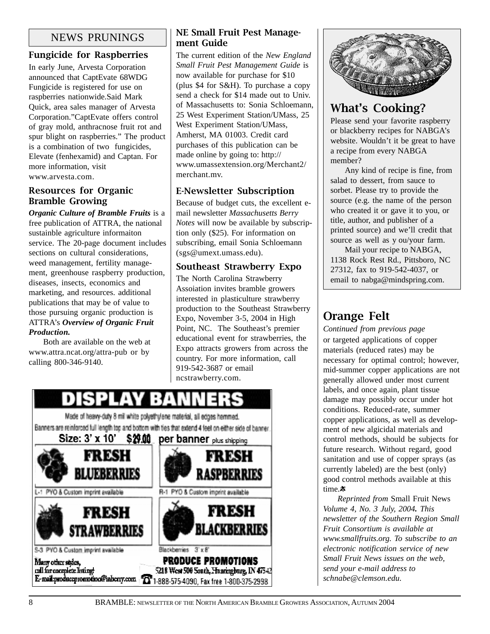### NEWS PRUNINGS

### Fungicide for Raspberries

In early June, Arvesta Corporation announced that CaptEvate 68WDG Fungicide is registered for use on raspberries nationwide.Said Mark Quick, area sales manager of Arvesta Corporation."CaptEvate offers control of gray mold, anthracnose fruit rot and spur blight on raspberries." The product is a combination of two fungicides, Elevate (fenhexamid) and Captan. For more information, visit www.arvesta.com.

#### Resources for Organic Bramble Growing

*Organic Culture of Bramble Fruits* is a free publication of ATTRA, the national sustainble agriculture informaiton service. The 20-page document includes sections on cultural considerations, weed management, fertility management, greenhouse raspberry production, diseases, insects, economics and marketing, and resources. additional publications that may be of value to those pursuing organic production is ATTRA's *Overview of Organic Fruit Production.*

Both are available on the web at www.attra.ncat.org/attra-pub or by calling 800-346-9140.

### NE Small Fruit Pest Management Guide

The current edition of the *New England Small Fruit Pest Management Guide* is now available for purchase for \$10 (plus \$4 for S&H). To purchase a copy send a check for \$14 made out to Univ. of Massachusetts to: Sonia Schloemann, 25 West Experiment Station/UMass, 25 West Experiment Station/UMass, Amherst, MA 01003. Credit card purchases of this publication can be made online by going to: http:// www.umassextension.org/Merchant2/ merchant.mv

### E-Newsletter Subscription

Because of budget cuts, the excellent email newsletter *Massachusetts Berry Notes* will now be available by subscription only (\$25). For information on subscribing, email Sonia Schloemann (sgs@umext.umass.edu).

### Southeast Strawberry Expo

The North Carolina Strawberry Assoiation invites bramble growers interested in plasticulture strawberry production to the Southeast Strawberry Expo, November 3-5, 2004 in High Point, NC. The Southeast's premier educational event for strawberries, the Expo attracts growers from across the country. For more information, call 919-542-3687 or email ncstrawberry.com.

![](_page_7_Picture_12.jpeg)

![](_page_7_Picture_13.jpeg)

### **What's Cooking?**

Please send your favorite raspberry or blackberry recipes for NABGA's website. Wouldn't it be great to have a recipe from every NABGA member?

Any kind of recipe is fine, from salad to dessert, from sauce to sorbet. Please try to provide the source (e.g. the name of the person who created it or gave it to you, or title, author, and publisher of a printed source) and we'll credit that source as well as y ou/your farm.

Mail your recipe to NABGA, 1138 Rock Rest Rd., Pittsboro, NC 27312, fax to 919-542-4037, or email to nabga@mindspring.com.

# Orange Felt

or targeted applications of copper materials (reduced rates) may be necessary for optimal control; however, mid-summer copper applications are not generally allowed under most current labels, and once again, plant tissue damage may possibly occur under hot conditions. Reduced-rate, summer copper applications, as well as development of new algicidal materials and control methods, should be subjects for future research. Without regard, good sanitation and use of copper sprays (as currently labeled) are the best (only) good control methods available at this time. *Continued from previous page*

*Reprinted from* Small Fruit News *Volume 4, No. 3 July, 2004. This newsletter of the Southern Region Small Fruit Consortium is available at www.smallfruits.org. To subscribe to an electronic notification service of new Small Fruit News issues on the web, send your e-mail address to schnabe@clemson.edu.*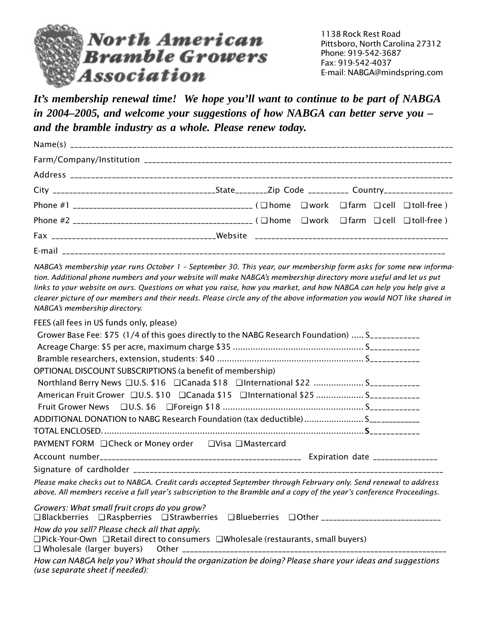![](_page_8_Picture_0.jpeg)

1138 Rock Rest Road Pittsboro, North Carolina 27312 Phone: 919-542-3687 Fax: 919-542-4037 E-mail: NABGA@mindspring.com

*It's membership renewal time! We hope you'll want to continue to be part of NABGA in 2004–2005, and welcome your suggestions of how NABGA can better serve you – and the bramble industry as a whole. Please renew today.*

NABGA's membership year runs October 1 - September 30. This year, our membership form asks for some new information. Additional phone numbers and your website will make NABGA's membership directory more useful and let us put links to your website on ours. Questions on what you raise, how you market, and how NABGA can help you help give a clearer picture of our members and their needs. Please circle any of the above information you would NOT like shared in NABGA's membership directory.

| FEES (all fees in US funds only, please) |  |  |  |  |
|------------------------------------------|--|--|--|--|
|------------------------------------------|--|--|--|--|

| Grower Base Fee: \$75 (1/4 of this goes directly to the NABG Research Foundation)  S___________    |  |
|----------------------------------------------------------------------------------------------------|--|
|                                                                                                    |  |
|                                                                                                    |  |
| OPTIONAL DISCOUNT SUBSCRIPTIONS (a benefit of membership)                                          |  |
| Northland Berry News $\Box$ U.S. \$16 $\Box$ Canada \$18 $\Box$ International \$22  S_____________ |  |
| American Fruit Grower □ U.S. \$10 □ Canada \$15 □ International \$25  S____________                |  |
|                                                                                                    |  |
|                                                                                                    |  |
|                                                                                                    |  |
| PAYMENT FORM □ Check or Money order □ Visa □ Mastercard                                            |  |
|                                                                                                    |  |
|                                                                                                    |  |
|                                                                                                    |  |

Please make checks out to NABGA. Credit cards accepted September through February only. Send renewal to address above. All members receive a full year's subscription to the Bramble and a copy of the year's conference Proceedings.

Growers: What small fruit crops do you grow? ❑ ,"-!'❑ 3-'❑ -'❑ ,"'❑ 7 How do you sell? Please check all that apply.  $\Box$  Pick-Your-Own  $\;\;\Box$  Retail direct to consumers  $\;\;\Box$  Wholesale (restaurants, small buyers) ❑ &"-" "-2'7 How can NABGA help you? What should the organization be doing? Please share your ideas and suggestions

(use separate sheet if needed):